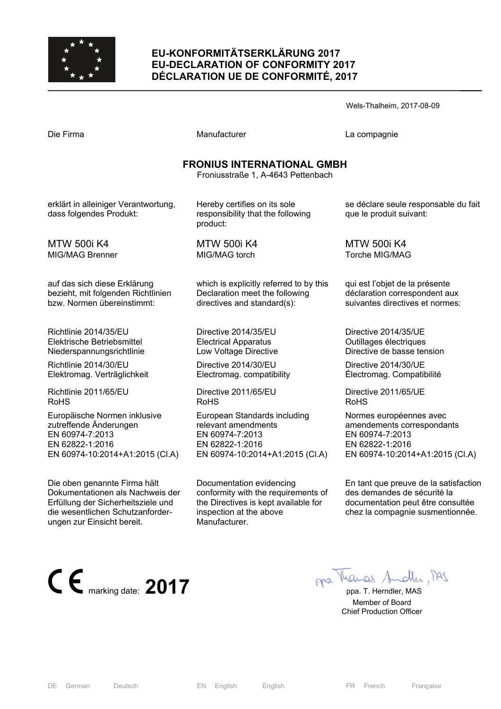

# **EU-KONFORMITÄTSERKLÄRUNG 2017 EU-DECLARATION OF CONFORMITY 2017 DÉCLARATION UE DE CONFORMITÉ, 2017**

Wels-Thalheim, 2017-08-09

| Die Firma                                                                                                                                                                | Manufacturer                                                                                                                                        | La compagnie                                                                                                                                  |
|--------------------------------------------------------------------------------------------------------------------------------------------------------------------------|-----------------------------------------------------------------------------------------------------------------------------------------------------|-----------------------------------------------------------------------------------------------------------------------------------------------|
| <b>FRONIUS INTERNATIONAL GMBH</b><br>Froniusstraße 1, A-4643 Pettenbach                                                                                                  |                                                                                                                                                     |                                                                                                                                               |
| erklärt in alleiniger Verantwortung,<br>dass folgendes Produkt:                                                                                                          | Hereby certifies on its sole<br>responsibility that the following<br>product:                                                                       | se déclare seule responsable du fait<br>que le produit suivant:                                                                               |
| <b>MTW 500i K4</b>                                                                                                                                                       | <b>MTW 500i K4</b>                                                                                                                                  | <b>MTW 500i K4</b>                                                                                                                            |
| <b>MIG/MAG Brenner</b>                                                                                                                                                   | MIG/MAG torch                                                                                                                                       | Torche MIG/MAG                                                                                                                                |
| auf das sich diese Erklärung                                                                                                                                             | which is explicitly referred to by this                                                                                                             | qui est l'objet de la présente                                                                                                                |
| bezieht, mit folgenden Richtlinien                                                                                                                                       | Declaration meet the following                                                                                                                      | déclaration correspondent aux                                                                                                                 |
| bzw. Normen übereinstimmt:                                                                                                                                               | directives and standard(s):                                                                                                                         | suivantes directives et normes:                                                                                                               |
| Richtlinie 2014/35/EU                                                                                                                                                    | Directive 2014/35/EU                                                                                                                                | Directive 2014/35/UE                                                                                                                          |
| Elektrische Betriebsmittel                                                                                                                                               | <b>Electrical Apparatus</b>                                                                                                                         | Outillages électriques                                                                                                                        |
| Niederspannungsrichtlinie                                                                                                                                                | Low Voltage Directive                                                                                                                               | Directive de basse tension                                                                                                                    |
| Richtlinie 2014/30/EU                                                                                                                                                    | Directive 2014/30/EU                                                                                                                                | Directive 2014/30/UE                                                                                                                          |
| Elektromag. Verträglichkeit                                                                                                                                              | Electromag. compatibility                                                                                                                           | Électromag. Compatibilité                                                                                                                     |
| Richtlinie 2011/65/EU                                                                                                                                                    | Directive 2011/65/EU                                                                                                                                | Directive 2011/65/UE                                                                                                                          |
| <b>RoHS</b>                                                                                                                                                              | <b>RoHS</b>                                                                                                                                         | <b>RoHS</b>                                                                                                                                   |
| Europäische Normen inklusive                                                                                                                                             | European Standards including                                                                                                                        | Normes européennes avec                                                                                                                       |
| zutreffende Änderungen                                                                                                                                                   | relevant amendments                                                                                                                                 | amendements correspondants                                                                                                                    |
| EN 60974-7:2013                                                                                                                                                          | EN 60974-7:2013                                                                                                                                     | EN 60974-7:2013                                                                                                                               |
| EN 62822-1:2016                                                                                                                                                          | EN 62822-1:2016                                                                                                                                     | EN 62822-1:2016                                                                                                                               |
| EN 60974-10:2014+A1:2015 (Cl.A)                                                                                                                                          | EN 60974-10:2014+A1:2015 (Cl.A)                                                                                                                     | EN 60974-10:2014+A1:2015 (CI.A)                                                                                                               |
| Die oben genannte Firma hält<br>Dokumentationen als Nachweis der<br>Erfüllung der Sicherheitsziele und<br>die wesentlichen Schutzanforder-<br>ungen zur Einsicht bereit. | Documentation evidencing<br>conformity with the requirements of<br>the Directives is kept available for<br>inspection at the above<br>Manufacturer. | En tant que preuve de la satisfaction<br>des demandes de sécurité la<br>documentation peut être consultée<br>chez la compagnie susmentionnée. |

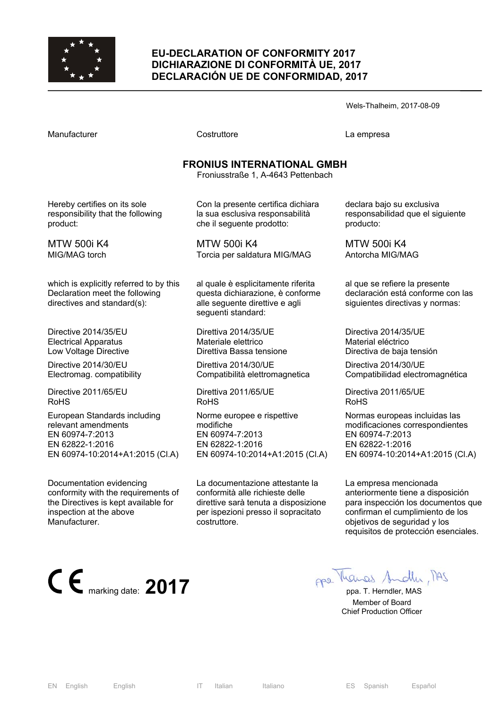

#### **EU-DECLARATION OF CONFORMITY 2017 DICHIARAZIONE DI CONFORMITÀ UE, 2017 DECLARACIÓN UE DE CONFORMIDAD, 2017**

Wels-Thalheim, 2017-08-09

Manufacturer Costruttore La empresa

# **FRONIUS INTERNATIONAL GMBH**

Froniusstraße 1, A-4643 Pettenbach

Hereby certifies on its sole responsibility that the following product:

MTW 500i K4 MIG/MAG torch

which is explicitly referred to by this Declaration meet the following directives and standard(s):

Directive 2014/35/EU Electrical Apparatus Low Voltage Directive

Directive 2014/30/EU Electromag. compatibility

Directive 2011/65/EU RoHS

European Standards including relevant amendments EN 60974-7:2013 EN 62822-1:2016 EN 60974-10:2014+A1:2015 (Cl.A)

Documentation evidencing conformity with the requirements of the Directives is kept available for inspection at the above Manufacturer.



Con la presente certifica dichiara la sua esclusiva responsabilità che il seguente prodotto:

MTW 500i K4 Torcia per saldatura MIG/MAG

al quale è esplicitamente riferita questa dichiarazione, è conforme alle seguente direttive e agli seguenti standard:

Direttiva 2014/35/UE Materiale elettrico Direttiva Bassa tensione

Direttiva 2014/30/UE Compatibilità elettromagnetica

Direttiva 2011/65/UE RoHS

Norme europee e rispettive modifiche EN 60974-7:2013 EN 62822-1:2016 EN 60974-10:2014+A1:2015 (Cl.A)

La documentazione attestante la conformità alle richieste delle direttive sarà tenuta a disposizione per ispezioni presso il sopracitato costruttore.

declara bajo su exclusiva responsabilidad que el siguiente producto:

MTW 500i K4 Antorcha MIG/MAG

al que se refiere la presente declaración está conforme con las siguientes directivas y normas:

Directiva 2014/35/UE Material eléctrico Directiva de baja tensión

Directiva 2014/30/UE Compatibilidad electromagnética

Directiva 2011/65/UE RoHS

Normas europeas incluidas las modificaciones correspondientes EN 60974-7:2013 EN 62822-1:2016 EN 60974-10:2014+A1:2015 (Cl.A)

La empresa mencionada anteriormente tiene a disposición para inspección los documentos que confirman el cumplimiento de los objetivos de seguridad y los requisitos de protección esenciales.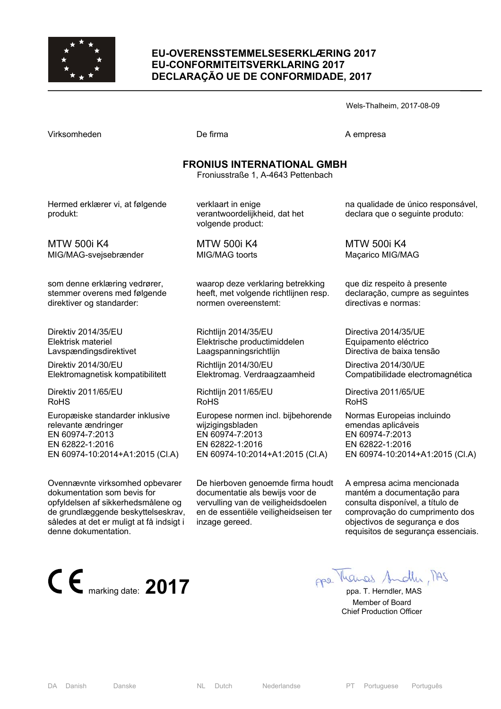

#### **EU-OVERENSSTEMMELSESERKLÆRING 2017 EU-CONFORMITEITSVERKLARING 2017 DECLARAÇÃO UE DE CONFORMIDADE, 2017**

Wels-Thalheim, 2017-08-09

MTW 500i K4

MIG/MAG-svejsebrænder

direktiver og standarder:

Direktiv 2014/35/EU Elektrisk materiel Lavspændingsdirektivet Direktiv 2014/30/EU

Direktiv 2011/65/EU

relevante ændringer EN 60974-7:2013 EN 62822-1:2016

denne dokumentation.

RoHS

som denne erklæring vedrører, stemmer overens med følgende

Elektromagnetisk kompatibilitett

Europæiske standarder inklusive

EN 60974-10:2014+A1:2015 (Cl.A)

Ovennævnte virksomhed opbevarer dokumentation som bevis for

opfyldelsen af sikkerhedsmålene og de grundlæggende beskyttelseskrav, således at det er muligt at få indsigt i

De firma A empresa

#### **FRONIUS INTERNATIONAL GMBH**

Froniusstraße 1, A-4643 Pettenbach

Hermed erklærer vi, at følgende produkt:

verklaart in enige verantwoordelijkheid, dat het volgende product:

MTW 500i K4 MIG/MAG toorts

> waarop deze verklaring betrekking heeft, met volgende richtlijnen resp. normen overeenstemt:

Richtlijn 2014/35/EU Elektrische productimiddelen Laagspanningsrichtlijn

Richtlijn 2014/30/EU Elektromag. Verdraagzaamheid

Richtlijn 2011/65/EU RoHS

Europese normen incl. bijbehorende wijzigingsbladen EN 60974-7:2013 EN 62822-1:2016 EN 60974-10:2014+A1:2015 (Cl.A)

De hierboven genoemde firma houdt documentatie als bewijs voor de vervulling van de veiligheidsdoelen en de essentiële veiligheidseisen ter inzage gereed.

na qualidade de único responsável, declara que o seguinte produto:

MTW 500i K4 Maçarico MIG/MAG

que diz respeito à presente declaração, cumpre as seguintes directivas e normas:

Directiva 2014/35/UE Equipamento eléctrico Directiva de baixa tensão

Directiva 2014/30/UE Compatibilidade electromagnética

Directiva 2011/65/UE RoHS

Normas Europeias incluindo emendas aplicáveis EN 60974-7:2013 EN 62822-1:2016 EN 60974-10:2014+A1:2015 (Cl.A)

A empresa acima mencionada mantém a documentação para consulta disponível, a título de comprovação do cumprimento dos objectivos de segurança e dos requisitos de segurança essenciais.

**CE** marking date: **2017 ppa.** T. Herndler, MAS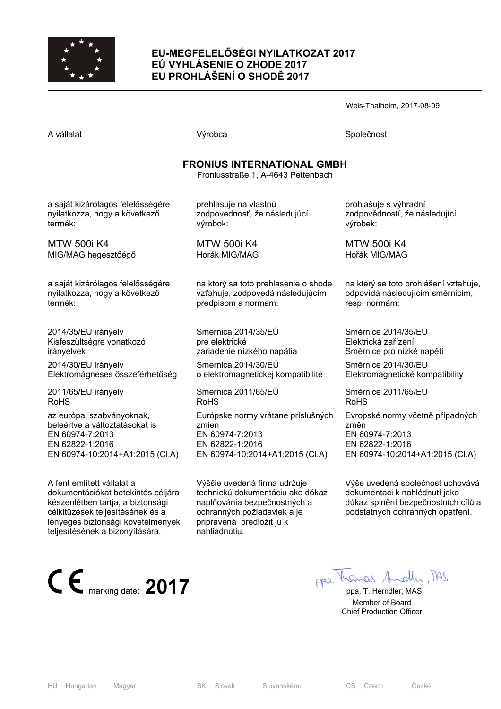

## **EU-MEGFELELŐSÉGI NYILATKOZAT 2017 EÚ VYHLÁSENIE O ZHODE 2017 EU PROHLÁŠENÍ O SHODĚ 2017**

Wels-Thalheim, 2017-08-09

A vállalat Společnost Národová výrobca Na vállalat Společnost Společnost Společnost Společnost Společnost Společnost

## **FRONIUS INTERNATIONAL GMBH**

Froniusstraße 1, A-4643 Pettenbach

a saját kizárólagos felelősségére nyilatkozza, hogy a következő termék:

MTW 500i K4 MIG/MAG hegesztőégő

a saját kizárólagos felelősségére nyilatkozza, hogy a következő termék:

2014/35/EU irányelv Kisfeszültségre vonatkozó irányelvek

2014/30/EU irányelv Elektromágneses összeférhetőség

2011/65/EU irányelv RoHS

az európai szabványoknak, beleértve a változtatásokat is EN 60974-7:2013 EN 62822-1:2016 EN 60974-10:2014+A1:2015 (Cl.A)

A fent említett vállalat a dokumentációkat betekintés céljára készenlétben tartja, a biztonsági célkitűzések teljesítésének és a lényeges biztonsági követelmények teljesítésének a bizonyítására.



prehlasuje na vlastnú zodpovednosť, že následujúcí výrobok:

MTW 500i K4 Horák MIG/MAG

na ktorý sa toto prehlasenie o shode vzťahuje, zodpovedá následujúcím predpisom a normam:

Smernica 2014/35/EÚ pre elektrické zariadenie nízkého napätia

Smernica 2014/30/EÚ o elektromagnetickej kompatibilite

Smernica 2011/65/EÚ RoHS Európske normy vrátane príslušných zmien EN 60974-7:2013 EN 62822-1:2016 EN 60974-10:2014+A1:2015 (Cl.A)

Výššie uvedená firma udržuje technickú dokumentáciu ako dókaz naplňovánia bezpečnostných a ochranných požiadaviek a je pripravená predložit ju k nahliadnutiu.

prohlašuje s výhradní zodpovědností, že následující výrobek:

MTW 500i K4 Hořák MIG/MAG

na který se toto prohlášení vztahuje, odpovídá následujícím směrnicím, resp. normám:

Směrnice 2014/35/EU Elektrická zařízení Směrnice pro nízké napětí

Směrnice 2014/30/EU Elektromagnetické kompatibility

Směrnice 2011/65/EU RoHS

Evropské normy včetně případných změn EN 60974-7:2013 EN 62822-1:2016 EN 60974-10:2014+A1:2015 (Cl.A)

Výše uvedená společnost uchovává dokumentaci k nahlédnutí jako důkaz splnění bezpečnostních cílů a podstatných ochranných opatření.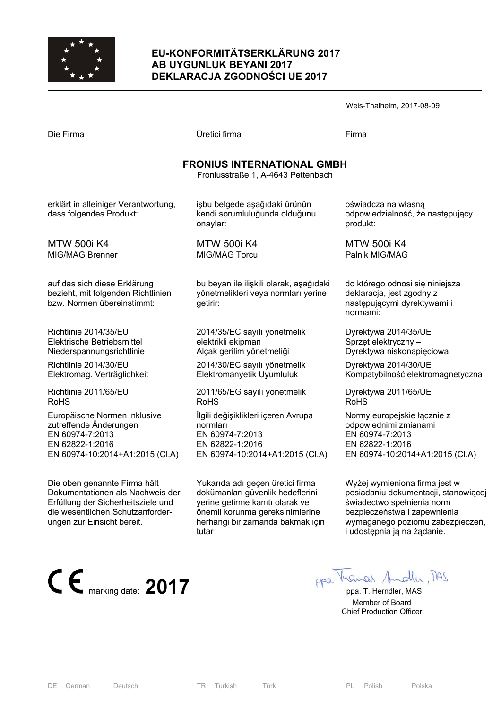

## **EU-KONFORMITÄTSERKLÄRUNG 2017 AB UYGUNLUK BEYANI 2017 DEKLARACJA ZGODNOŚCI UE 2017**

| Wels-Thalheim, 2017-08-09 |  |
|---------------------------|--|
|---------------------------|--|

| Die Firma                                                                                        | Üretici firma                                                                              | Firma                                                                                                   |  |
|--------------------------------------------------------------------------------------------------|--------------------------------------------------------------------------------------------|---------------------------------------------------------------------------------------------------------|--|
| <b>FRONIUS INTERNATIONAL GMBH</b><br>Froniusstraße 1, A-4643 Pettenbach                          |                                                                                            |                                                                                                         |  |
| erklärt in alleiniger Verantwortung,<br>dass folgendes Produkt:                                  | işbu belgede aşağıdaki ürünün<br>kendi sorumluluğunda olduğunu<br>onaylar:                 | oświadcza na własną<br>odpowiedzialność, że następujący<br>produkt:                                     |  |
| <b>MTW 500i K4</b>                                                                               | <b>MTW 500i K4</b>                                                                         | <b>MTW 500i K4</b>                                                                                      |  |
| MIG/MAG Brenner                                                                                  | MIG/MAG Torcu                                                                              | Palnik MIG/MAG                                                                                          |  |
| auf das sich diese Erklärung<br>bezieht, mit folgenden Richtlinien<br>bzw. Normen übereinstimmt: | bu beyan ile ilişkili olarak, aşağıdaki<br>yönetmelikleri veya normları yerine<br>getirir: | do którego odnosi się niniejsza<br>deklaracja, jest zgodny z<br>następującymi dyrektywami i<br>normami: |  |
| Richtlinie 2014/35/EU                                                                            | 2014/35/EC sayılı yönetmelik                                                               | Dyrektywa 2014/35/UE                                                                                    |  |
| Elektrische Betriebsmittel                                                                       | elektrikli ekipman                                                                         | Sprzęt elektryczny –                                                                                    |  |
| Niederspannungsrichtlinie                                                                        | Alçak gerilim yönetmeliği                                                                  | Dyrektywa niskonapięciowa                                                                               |  |
| Richtlinie 2014/30/EU                                                                            | 2014/30/EC sayılı yönetmelik                                                               | Dyrektywa 2014/30/UE                                                                                    |  |
| Elektromag. Verträglichkeit                                                                      | Elektromanyetik Uyumluluk                                                                  | Kompatybilność elektromagnetyczna                                                                       |  |
| Richtlinie 2011/65/EU                                                                            | 2011/65/EG sayılı yönetmelik                                                               | Dyrektywa 2011/65/UE                                                                                    |  |
| <b>RoHS</b>                                                                                      | <b>RoHS</b>                                                                                | <b>RoHS</b>                                                                                             |  |
| Europäische Normen inklusive                                                                     | İlgili değişiklikleri içeren Avrupa                                                        | Normy europejskie łącznie z                                                                             |  |
| zutreffende Änderungen                                                                           | normları                                                                                   | odpowiednimi zmianami                                                                                   |  |
| EN 60974-7:2013                                                                                  | EN 60974-7:2013                                                                            | EN 60974-7:2013                                                                                         |  |
| EN 62822-1:2016                                                                                  | EN 62822-1:2016                                                                            | EN 62822-1:2016                                                                                         |  |
| EN 60974-10:2014+A1:2015 (CI.A)                                                                  | EN 60974-10:2014+A1:2015 (Cl.A)                                                            | EN 60974-10:2014+A1:2015 (CI.A)                                                                         |  |
| Die oben genannte Firma hält                                                                     | Yukarıda adı geçen üretici firma                                                           | Wyżej wymieniona firma jest w                                                                           |  |

Die oben genannte Firma hält Dokumentationen als Nachweis der Erfüllung der Sicherheitsziele und die wesentlichen Schutzanforderungen zur Einsicht bereit.



dokümanları güvenlik hedeflerini yerine getirme kanıtı olarak ve önemli korunma gereksinimlerine herhangi bir zamanda bakmak için tutar

 Member of Board Chief Production Officer

posiadaniu dokumentacji, stanowiącej

świadectwo spełnienia norm bezpieczeństwa i zapewnienia wymaganego poziomu zabezpieczeń,

i udostępnia ją na żądanie.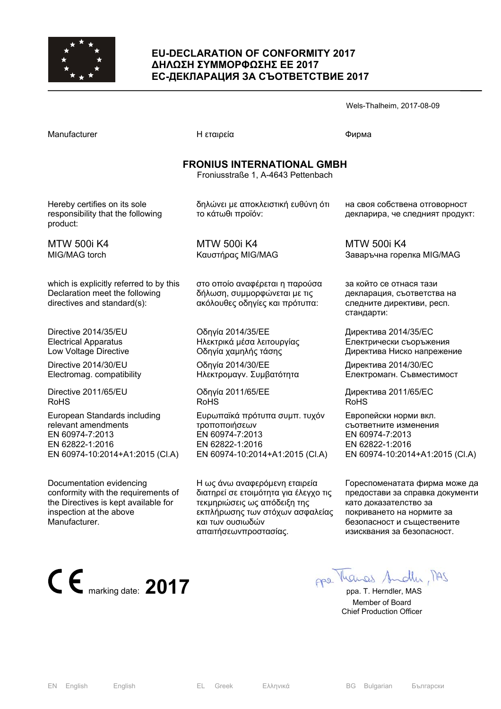

#### **EU-DECLARATION OF CONFORMITY 2017 ∆ΗΛΩΣΗ ΣΥΜΜΟΡΦΩΣΗΣ ΕΕ 2017 ЕС-ДЕКЛАРАЦИЯ ЗА СЪОТВЕТСТВИЕ 2017**

|                                                                                                          |                                                                                                  | Wels-Thalheim, 2017-08-09                                                                        |  |
|----------------------------------------------------------------------------------------------------------|--------------------------------------------------------------------------------------------------|--------------------------------------------------------------------------------------------------|--|
| Manufacturer                                                                                             | Η εταιρεία                                                                                       | Фирма                                                                                            |  |
| <b>FRONIUS INTERNATIONAL GMBH</b><br>Froniusstraße 1, A-4643 Pettenbach                                  |                                                                                                  |                                                                                                  |  |
| Hereby certifies on its sole<br>responsibility that the following<br>product:                            | δηλώνει με αποκλειστική ευθύνη ότι<br>το κάτωθι προϊόν:                                          | на своя собствена отговорност<br>декларира, че следният продукт:                                 |  |
| <b>MTW 500i K4</b>                                                                                       | <b>MTW 500i K4</b>                                                                               | <b>MTW 500i K4</b>                                                                               |  |
| MIG/MAG torch                                                                                            | Καυστήρας MIG/MAG                                                                                | Заваръчна горелка MIG/MAG                                                                        |  |
| which is explicitly referred to by this<br>Declaration meet the following<br>directives and standard(s): | στο οποίο αναφέρεται η παρούσα<br>δήλωση, συμμορφώνεται με τις<br>ακόλουθες οδηγίες και πρότυπα: | за който се отнася тази<br>декларация, съответства на<br>следните директиви, респ.<br>стандарти: |  |
| Directive 2014/35/EU                                                                                     | Οδηγία 2014/35/ΕΕ                                                                                | Директива 2014/35/ЕС                                                                             |  |
| <b>Electrical Apparatus</b>                                                                              | Ηλεκτρικά μέσα λειτουργίας                                                                       | Електрически съоръжения                                                                          |  |
| Low Voltage Directive                                                                                    | Οδηγία χαμηλής τάσης                                                                             | Директива Ниско напрежение                                                                       |  |
| Directive 2014/30/EU                                                                                     | Οδηγία 2014/30/ΕΕ                                                                                | Директива 2014/30/ЕС                                                                             |  |
| Electromag. compatibility                                                                                | Ηλεκτρομαγν. Συμβατότητα                                                                         | Електромагн. Съвместимост                                                                        |  |
| Directive 2011/65/EU                                                                                     | Οδηγία 2011/65/ΕΕ                                                                                | Директива 2011/65/ЕС                                                                             |  |
| <b>RoHS</b>                                                                                              | <b>RoHS</b>                                                                                      | <b>RoHS</b>                                                                                      |  |
| European Standards including                                                                             | Ευρωπαϊκά πρότυπα συμπ. τυχόν                                                                    | Европейски норми вкл.                                                                            |  |
| relevant amendments                                                                                      | τροποποιήσεων                                                                                    | съответните изменения                                                                            |  |
| EN 60974-7:2013                                                                                          | EN 60974-7:2013                                                                                  | EN 60974-7:2013                                                                                  |  |
| EN 62822-1:2016                                                                                          | EN 62822-1:2016                                                                                  | EN 62822-1:2016                                                                                  |  |
| EN 60974-10:2014+A1:2015 (CI.A)                                                                          | EN 60974-10:2014+A1:2015 (CI.A)                                                                  | EN 60974-10:2014+A1:2015 (CI.A)                                                                  |  |

Η ως άνω αναφερόμενη εταιρεία διατηρεί σε ετοιμότητα για έλεγχο τις τεκμηριώσεις ως απόδειξη της εκπλήρωσης των στόχων ασφαλείας

και των ουσιωδών απαιτήσεωνπροστασίας.

Documentation evidencing conformity with the requirements of the Directives is kept available for inspection at the above Manufacturer.



като доказателство за покриването на нормите за безопасност и съществените изисквания за безопасност.

Гореспоменатата фирма може да предостави за справка документи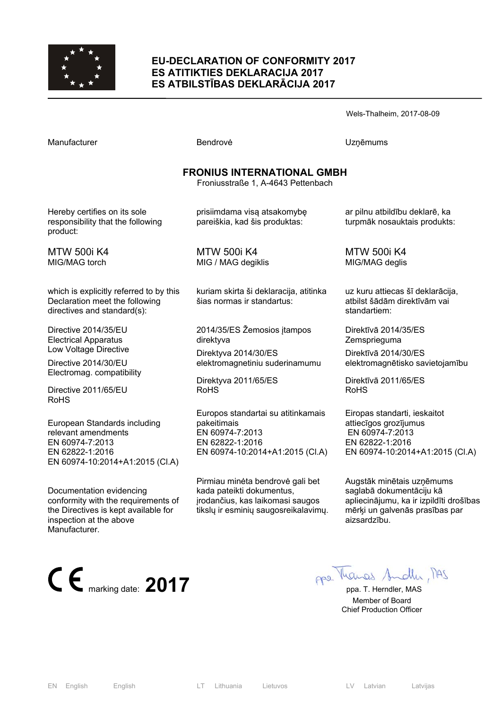

#### **EU-DECLARATION OF CONFORMITY 2017 ES ATITIKTIES DEKLARACIJA 2017 ES ATBILSTĪBAS DEKLARĀCIJA 2017**

Wels-Thalheim, 2017-08-09

Manufacturer **Manufacturer Execute Uzņēmums** Bendrovė **V**zņēmums

### **FRONIUS INTERNATIONAL GMBH**

Froniusstraße 1, A-4643 Pettenbach

Hereby certifies on its sole responsibility that the following product:

MTW 500i K4 MIG/MAG torch

which is explicitly referred to by this Declaration meet the following directives and standard(s):

Directive 2014/35/EU Electrical Apparatus Low Voltage Directive

Directive 2014/30/EU Electromag. compatibility

Directive 2011/65/EU RoHS

European Standards including relevant amendments EN 60974-7:2013 EN 62822-1:2016 EN 60974-10:2014+A1:2015 (Cl.A)

Documentation evidencing conformity with the requirements of the Directives is kept available for inspection at the above Manufacturer.



prisiimdama visą atsakomybę pareiškia, kad šis produktas:

MTW 500i K4 MIG / MAG degiklis

kuriam skirta ši deklaracija, atitinka šias normas ir standartus:

2014/35/ES Žemosios įtampos direktyva

Direktyva 2014/30/ES elektromagnetiniu suderinamumu

Direktyva 2011/65/ES RoHS

Europos standartai su atitinkamais pakeitimais EN 60974-7:2013 EN 62822-1:2016 EN 60974-10:2014+A1:2015 (Cl.A)

Pirmiau minėta bendrovė gali bet kada pateikti dokumentus, įrodančius, kas laikomasi saugos tikslų ir esminių saugosreikalavimų. ar pilnu atbildību deklarē, ka turpmāk nosauktais produkts:

MTW 500i K4 MIG/MAG deglis

uz kuru attiecas šī deklarācija, atbilst šādām direktīvām vai standartiem:

Direktīvā 2014/35/ES Zemsprieguma

Direktīvā 2014/30/ES elektromagnētisko savietojamību

Direktīvā 2011/65/ES RoHS

Eiropas standarti, ieskaitot attiecīgos grozījumus EN 60974-7:2013 EN 62822-1:2016 EN 60974-10:2014+A1:2015 (Cl.A)

Augstāk minētais uzņēmums saglabā dokumentāciju kā apliecinājumu, ka ir izpildīti drošības mērķi un galvenās prasības par aizsardzību.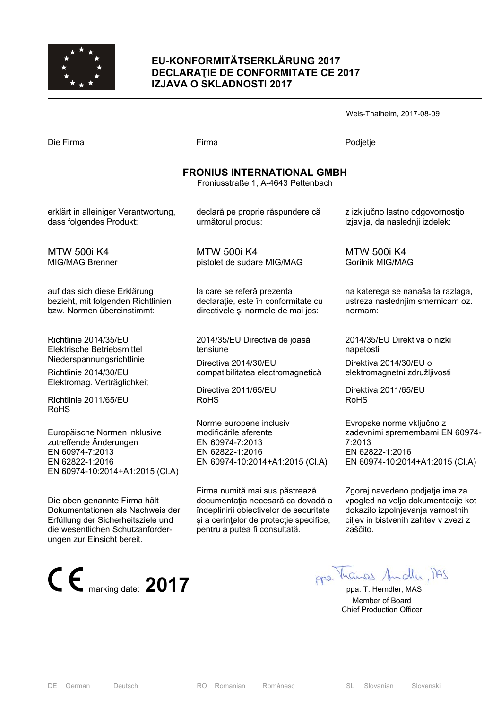

### **EU-KONFORMITÄTSERKLÄRUNG 2017 DECLARAŢIE DE CONFORMITATE CE 2017 IZJAVA O SKLADNOSTI 2017**

Wels-Thalheim, 2017-08-09

Die Firma Firma Podjetje

## **FRONIUS INTERNATIONAL GMBH**

Froniusstraße 1, A-4643 Pettenbach

declară pe proprie răspundere că

erklärt in alleiniger Verantwortung, dass folgendes Produkt:

MTW 500i K4 MIG/MAG Brenner

auf das sich diese Erklärung bezieht, mit folgenden Richtlinien bzw. Normen übereinstimmt:

Richtlinie 2014/35/EU Elektrische Betriebsmittel Niederspannungsrichtlinie

Richtlinie 2014/30/EU Elektromag. Verträglichkeit

Richtlinie 2011/65/EU RoHS

Europäische Normen inklusive zutreffende Änderungen EN 60974-7:2013 EN 62822-1:2016 EN 60974-10:2014+A1:2015 (Cl.A)

Die oben genannte Firma hält Dokumentationen als Nachweis der Erfüllung der Sicherheitsziele und die wesentlichen Schutzanforderungen zur Einsicht bereit.



MTW 500i K4 pistolet de sudare MIG/MAG

următorul produs:

la care se referă prezenta declarație, este în conformitate cu directivele şi normele de mai jos:

2014/35/EU Directiva de joasă tensiune

Directiva 2014/30/EU compatibilitatea electromagnetică

Directiva 2011/65/EU RoHS

Norme europene inclusiv modificările aferente EN 60974-7:2013 EN 62822-1:2016 EN 60974-10:2014+A1:2015 (Cl.A)

Firma numită mai sus păstrează documentația necesară ca dovadă a îndeplinirii obiectivelor de securitate şi a cerinţelor de protecţie specifice, pentru a putea fi consultată.

z izključno lastno odgovornostjo izjavlja, da naslednji izdelek:

MTW 500i K4 Gorilnik MIG/MAG

na katerega se nanaša ta razlaga, ustreza naslednjim smernicam oz. normam:

2014/35/EU Direktiva o nizki napetosti

Direktiva 2014/30/EU o elektromagnetni združljivosti

Direktiva 2011/65/EU RoHS

Evropske norme vključno z zadevnimi spremembami EN 60974- 7:2013 EN 62822-1:2016 EN 60974-10:2014+A1:2015 (Cl.A)

Zgoraj navedeno podjetje ima za vpogled na voljo dokumentacije kot dokazilo izpolnjevanja varnostnih ciljev in bistvenih zahtev v zvezi z zaščito.

 Member of Board Chief Production Officer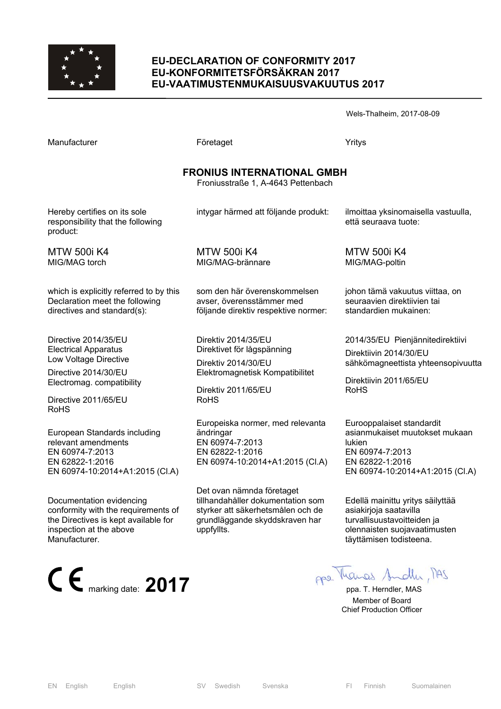

#### **EU-DECLARATION OF CONFORMITY 2017 EU-KONFORMITETSFÖRSÄKRAN 2017 EU-VAATIMUSTENMUKAISUUSVAKUUTUS 2017**

Wels-Thalheim, 2017-08-09

| Manufacturer                                                                                                                                                             | Företaget                                                                                                                                         | Yritys                                                                                                                                         |  |
|--------------------------------------------------------------------------------------------------------------------------------------------------------------------------|---------------------------------------------------------------------------------------------------------------------------------------------------|------------------------------------------------------------------------------------------------------------------------------------------------|--|
| <b>FRONIUS INTERNATIONAL GMBH</b><br>Froniusstraße 1, A-4643 Pettenbach                                                                                                  |                                                                                                                                                   |                                                                                                                                                |  |
| Hereby certifies on its sole<br>responsibility that the following<br>product:                                                                                            | intygar härmed att följande produkt:                                                                                                              | ilmoittaa yksinomaisella vastuulla,<br>että seuraava tuote:                                                                                    |  |
| <b>MTW 500i K4</b><br>MIG/MAG torch                                                                                                                                      | <b>MTW 500i K4</b><br>MIG/MAG-brännare                                                                                                            | <b>MTW 500i K4</b><br>MIG/MAG-poltin                                                                                                           |  |
| which is explicitly referred to by this<br>Declaration meet the following<br>directives and standard(s):                                                                 | som den här överenskommelsen<br>avser, överensstämmer med<br>följande direktiv respektive normer:                                                 | johon tämä vakuutus viittaa, on<br>seuraavien direktiivien tai<br>standardien mukainen:                                                        |  |
| Directive 2014/35/EU<br><b>Electrical Apparatus</b><br>Low Voltage Directive<br>Directive 2014/30/EU<br>Electromag. compatibility<br>Directive 2011/65/EU<br><b>RoHS</b> | Direktiv 2014/35/EU<br>Direktivet för lågspänning<br>Direktiv 2014/30/EU<br>Elektromagnetisk Kompatibilitet<br>Direktiv 2011/65/EU<br><b>RoHS</b> | 2014/35/EU Pienjännitedirektiivi<br>Direktiivin 2014/30/EU<br>sähkömagneettista yhteensopivuutta<br>Direktiivin 2011/65/EU<br><b>RoHS</b>      |  |
| European Standards including<br>relevant amendments<br>EN 60974-7:2013<br>EN 62822-1:2016<br>EN 60974-10:2014+A1:2015 (CI.A)                                             | Europeiska normer, med relevanta<br>ändringar<br>EN 60974-7:2013<br>EN 62822-1:2016<br>EN 60974-10:2014+A1:2015 (CI.A)                            | Eurooppalaiset standardit<br>asianmukaiset muutokset mukaan<br>lukien<br>EN 60974-7:2013<br>EN 62822-1:2016<br>EN 60974-10:2014+A1:2015 (CI.A) |  |

conformity with the requirements of Det ovan nämnda företaget tillhandahåller dokumentation som styrker att säkerhetsmålen och de grundläggande skyddskraven har uppfyllts.

Edellä mainittu yritys säilyttää asiakirjoja saatavilla turvallisuustavoitteiden ja olennaisten suojavaatimusten täyttämisen todisteena.

**CE** marking date: **2017 pp March ppa.** T. Herndler, MAS

 Member of Board Chief Production Officer

Documentation evidencing

inspection at the above

Manufacturer.

the Directives is kept available for